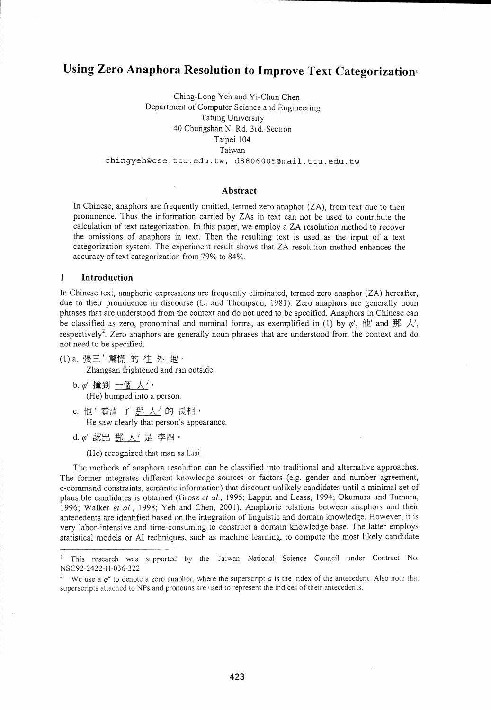# Using Zero Anaphora Resolution to Improve Text Categorization.

Ching-Long Yeh and Yi-Chun Chen Department of Computer Science and Engineering Tatung University 40 Chungshan N. Rd. 3rd. Section Taipei 104 Taiwan chingyeh@cse.ttu.edu.tw, d8806005@mail.ttu.edu.tw

# Abstract

In Chinese, anaphors are frequently omitted, termed zero anaphor (ZA), from text due to their prominence. Thus the information carried by ZAs in text can not be used to contribute the calculation of text categorization. In this paper, we employ a ZA resolution method to recover the omissions of anaphors in text. Then the resulting text is used as the input of a text categorization system. The experiment result shows that ZA resolution method enhances the accuracy of text categorization from 79% to 84%.

# <sup>1</sup> Introduction

In Chinese text, anaphoric expressions are frequently eliminated, termed zero anaphor (ZA) hereafter, due to their prominence in discourse (Li and Thompson, 1981). Zero anaphors are generally noun phrases that are understood from the context and do not need to be specified. Anaphors in Chinese can be classified as zero, pronominal and nominal forms, as exemplified in (1) by  $\varphi'$ ,  $\langle \underline{t} \underline{t}' \rangle$  and  $\frac{113}{2}$ respectively'. Zero anaphors are generally noun phrases that are understood from the context and do not need to be specified.

(1) a. 張三'驚慌 的往外跑,

Zhangsan frightened and ran outside.

- b.  $\varphi'$  撞到 一個 人<sup>j</sup>, (He) bumped into a person.
- c. 他<sup>*'*看清了那人<sup>'</sup>的長相,</sup> He saw clearly that person's appearance.
- d.  $\varphi'$  認出 那 人 是 李四。

(He) recognized that man as Lisi.

The methods of anaphora resolution can be classified into traditional and alternative approaches. The former integrates different knowledge sources or factors (e.g. gender and number agreement, c-command constraints, semantic information) that discount unlikely candidates until a minimal set of plausible candidates is obtained (Grosz *et al.,* 1995; Lappin and Leass, 1994; Okumura and Tamura, 1996; Walker *et al.,* 1998; Yeh and Chen, 2001). Anaphoric relations between anaphors and their antecedents are identified based on the integration of linguistic and domain knowledge. However, it is very labor-intensive and time-consuming to construct a domain knowledge base. The latter employs statistical models or AI techniques, such as machine learning, to compute the most likely candidate

This research was supported by the Taiwan National Science Council under Contract No.  $\mathbf{I}$ NSC92-2422-H-036-322

We use a  $\varphi^a$  to denote a zero anaphor, where the superscript *a* is the index of the antecedent. Also note that superscripts attached to NPs and pronouns are used to represent the indices of their antecedents.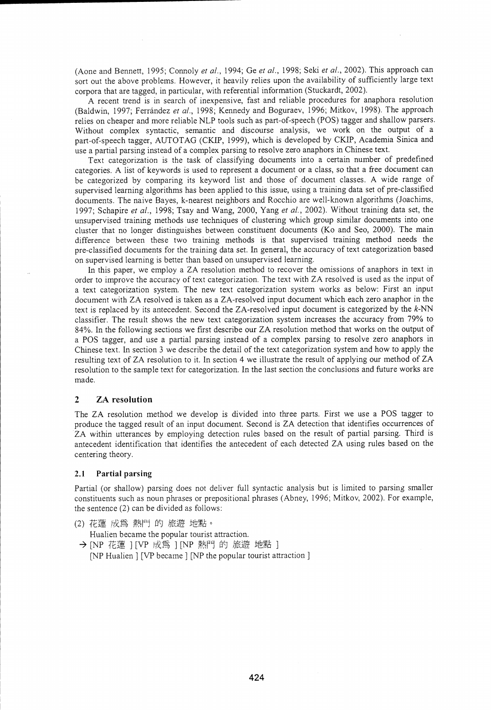(Aone and Bennett, 1995; Connoly *et al.,* 1994; Ge *et al.,* 1998; Seki *et al.,* 2002). This approach can sort out the above problems. However, it heavily relies upon the availability of sufficiently large text corpora that are tagged, in particular, with referential information (Stuckardt, 2002).

A recent trend is in search of inexpensive, fast and reliable procedures for anaphora resolution (Baldwin, 1997; Ferrândez *et al.,* 1998; Kennedy and Boguraev, 1996; Mitkov, 1998). The approach relies on cheaper and more reliable NLP tools such as part-of-speech (POS) tagger and shallow parsers. Without complex syntactic, semantic and discourse analysis, we work on the output of a part-of-speech tagger, AUTOTAG (CKIP, 1999), which is developed by CKIP, Academia Sinica and use a partial parsing instead of a complex parsing to resolve zero anaphors in Chinese text.

Text categorization is the task of classifying documents into a certain number of predefined categories. A list of keywords is used to represent a document or a class, so that a free document can be categorized by comparing its keyword list and those of document classes. A wide range of supervised learning algorithms has been applied to this issue, using a training data set of pre-classified documents. The naive Bayes, k-nearest neighbors and Rocchio are well-known algorithms (Joachims, 1997; Schapire *et al.,* 1998; Tsay and Wang, 2000, Yang *et al.,* 2002). Without training data set, the unsupervised training methods use techniques of clustering which group similar documents into one cluster that no longer distinguishes between constituent documents (Ko and Seo, 2000). The main difference between these two training methods is that supervised training method needs the pre-classified documents for the training data set. In general, the accuracy of text categorization based on supervised learning is better than based on unsupervised learning.

In this paper, we employ a ZA resolution method to recover the omissions of anaphors in text in order to improve the accuracy of text categorization. The text with ZA resolved is used as the input of a text categorization system. The new text categorization system works as below: First an input document with ZA resolved is taken as a ZA-resolved input document which each zero anaphor in the text is replaced by its antecedent. Second the ZA-resolved input document is categorized by the k-NN classifier. The result shows the new text categorization system increases the accuracy from 79% to 84%. In the following sections we first describe our ZA resolution method that works on the output of a POS tagger, and use a partial parsing instead of a complex parsing to resolve zero anaphors in Chinese text. In section 3 we describe the detail of the text categorization system and how to apply the resulting text of ZA resolution to it. In section 4 we illustrate the result of applying our method of ZA resolution to the sample text for categorization. In the last section the conclusions and future works are made.

### 2 ZA resolution

The ZA resolution method we develop is divided into three parts. First we use a PUS tagger to produce the tagged result of an input document. Second is ZA detection that identifies occurrences of ZA within utterances by employing detection rules based on the result of partial parsing. Third is antecedent identification that identifies the antecedent of each detected ZA using rules based on the centering theory.

### 2.1 Partial parsing

Partial (or shallow) parsing does not deliver full syntactic analysis but is limited to parsing smaller constituents such as noun phrases or prepositional phrases (Abney, 1996; Mitkov, 2002). For example, the sentence (2) can be divided as follows:

- (2) 花蓮 成為 熱門 的 旅遊 地點。
- Hualien became the popular tourist attraction. → [NP 花蓮 ] [VP 成為 ] [NP 熱門 的 旅遊 地點 ]
	- [NP Hualien ] [VP became ] [NP the popular tourist attraction ]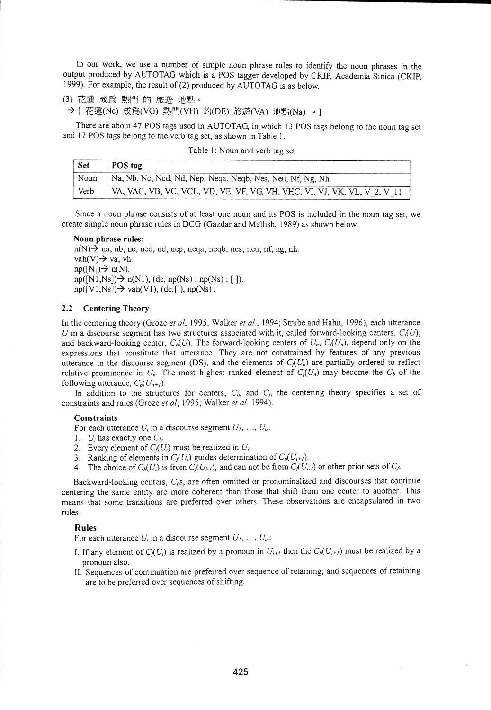In our work, we use a number of simple noun phrase rules to identify the noun phrases in the output produced by AUTOTAG which is a POS tagger developed by CKIP, Academia Sinica (CKIP, 1999). For example, the result of (2) produced by AUTOTAG is as below.

(3) 花蓮 成為 熱門 的 旅遊 地點。

→ [ 花蓮(Nc) 成為(VG) 熱門(VH) 的(DE) 旅遊(VA) 地點(Na) 。 ]

There are about 47 POS tags used in AUTOTAG in which 13 POS tags belong to the noun tag set and 17 POS tags belong to the verb tag set, as shown in Table 1.

| Table 1: Noun and verb tag set |  |
|--------------------------------|--|
|--------------------------------|--|

| Set  | POS tag                                                                  |
|------|--------------------------------------------------------------------------|
| Noun | Na, Nb, Nc, Ncd, Nd, Nep, Neqa, Neqb, Nes, Neu, Nf, Ng, Nh               |
| Verb | VA, VAC, VB, VC, VCL, VD, VE, VF, VG, VH, VHC, VI, VJ, VK, VL, V 2, V 11 |

Since a noun phrase consists of at least one noun and its POS is included in the noun tag set, we create simple noun phrase rules in DCG (Gazdar and Mellish, 1989) as shown below.

#### Noun phrase rules:

 $n(N)$  na; nb; nc; ncd; nd; nep; neqa; neqb; nes; neu; nf; ng; nh. vah(V) $\rightarrow$  va; vh.  $np([N]) \rightarrow n(N)$ .  $np([N1,Ns]) \rightarrow n(N1)$ , (de,  $np(Ns)$ ;  $np(Ns)$ ; []).  $np([V1,Ns]) \rightarrow$  vah $(V1)$ , (de;[]),  $np(Ns)$ .

# 2.2 Centering Theory

In the centering theory (Groze *et al,* 1995; Walker *et al.,* 1994; Strube and Hahn, 1996), each utterance *U* in a discourse segment has two structures associated with it, called forward-looking centers,  $C_I(U)$ , and backward-looking center,  $C_b(U)$ . The forward-looking centers of  $U_n$ ,  $C_l(U_n)$ , depend only on the expressions that constitute that utterance. They are not constrained by features of any previous utterance in the discourse segment (DS), and the elements of  $C_l(U_n)$  are partially ordered to reflect relative prominence in  $U_n$ . The most highest ranked element of  $C_I(U_n)$  may become the  $C_b$  of the following utterance,  $C_b(U_{n+1})$ .

In addition to the structures for centers,  $C_b$ , and  $C_f$ , the centering theory specifies a set of constraints and rules (Groze *et al,* 1995; Walker *et al.* 1994).

### **Constraints**

For each utterance  $U_i$  in a discourse segment  $U_i$ , ...,  $U_m$ .

1.  $U_i$  has exactly one  $C_b$ .

2. Every element of  $C_i(U_i)$  must be realized in  $U_i$ .

3. Ranking of elements in  $C_l(U_i)$  guides determination of  $C_b(U_{i+1})$ .

4. The choice of  $C_b(U_i)$  is from  $C_b(U_{i-1})$ , and can not be from  $C_b(U_{i-2})$  or other prior sets of  $C_f$ .

Backward-looking centers,  $C_b$ s, are often omitted or pronominalized and discourses that continue centering the same entity are more coherent than those that shift from one center to another. This means that some transitions are preferred over others. These observations are encapsulated in two rules.

#### Rules

For each utterance  $U_i$  in a discourse segment  $U_i, ..., U_m$ .

- I. If any element of  $C_I(U_i)$  is realized by a pronoun in  $U_{i+1}$  then the  $C_b(U_{i+1})$  must be realized by a pronoun also.
- II. Sequences of continuation are preferred over sequence of retaining; and sequences of retaining are to be preferred over sequences of shifting.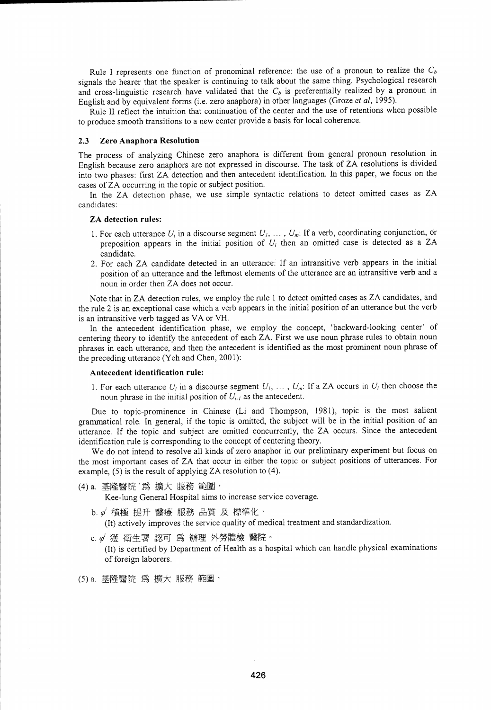Rule I represents one function of pronominal reference: the use of a pronoun to realize the *Ch* signals the hearer that the speaker is continuing to talk about the same thing. Psychological research and cross-linguistic research have validated that the  $C_b$  is preferentially realized by a pronoun in English and by equivalent forms (i.e. zero anaphora) in other languages (Groze *et al,* 1995).

Rule II reflect the intuition that continuation of the center and the use of retentions when possible to produce smooth transitions to a new center provide a basis for local coherence.

# 2.3 Zero Anaphora Resolution

The process of analyzing Chinese zero anaphora is different from general pronoun resolution in English because zero anaphors are not expressed in discourse. The task of ZA resolutions is divided into two phases: first ZA detection and then antecedent identification. In this paper, we focus on the cases of ZA occurring in the topic or subject position.

In the ZA detection phase, we use simple syntactic relations to detect omitted cases as ZA candidates:

#### ZA detection rules:

- 1. For each utterance  $U_i$  in a discourse segment  $U_i$ ,  $\ldots$ ,  $U_m$ : If a verb, coordinating conjunction, or preposition appears in the initial position of  $U_i$  then an omitted case is detected as a ZA candidate.
- 2. For each ZA candidate detected in an utterance: If an intransitive verb appears in the initial position of an utterance and the leftmost elements of the utterance are an intransitive verb and a noun in order then ZA does not occur.

Note that in ZA detection rules, we employ the rule 1 to detect omitted cases as ZA candidates, and the rule 2 is an exceptional case which a verb appears in the initial position of an utterance but the verb is an intransitive verb tagged as VA or VH.

In the antecedent identification phase, we employ the concept, 'backward-looking center' of centering theory to identify the antecedent of each ZA. First we use noun phrase rules to obtain noun phrases in each utterance, and then the antecedent is identified as the most prominent noun phrase of the preceding utterance (Yeh and Chen, 2001):

## Antecedent identification rule:

1. For each utterance  $U_i$  in a discourse segment  $U_1, \ldots, U_m$ : If a ZA occurs in  $U_i$  then choose the noun phrase in the initial position of  $U_{i,l}$  as the antecedent.

Due to topic-prominence in Chinese (Li and Thompson, 1981), topic is the most salient grammatical role. In general, if the topic is omitted, the subject will be in the initial position of an utterance. If the topic and subject are omitted concurrently, the ZA occurs. Since the antecedent identification rule is corresponding to the concept of centering theory.

We do not intend to resolve all kinds of zero anaphor in our preliminary experiment but focus on the most important cases of ZA that occur in either the topic or subject positions of utterances. For example, (5) is the result of applying ZA resolution to (4).

(4) a. 基隆醫院 '為 擴大 服務 範圍,

Kee-lung General Hospital aims to increase service coverage.

 $b. \varphi'$  積極 提升 醫療 服務 品質 及 標準化,

(It) actively improves the service quality of medical treatment and standardization.

c. $\varrho'$  獲 衛生署 認可 為 辦理 外勞體檢 醫院。

(It) is certified by Department of Health as a hospital which can handle physical examinations of foreign laborers.

(5) a. 基隆醫院 爲 擴大 服務 範圍,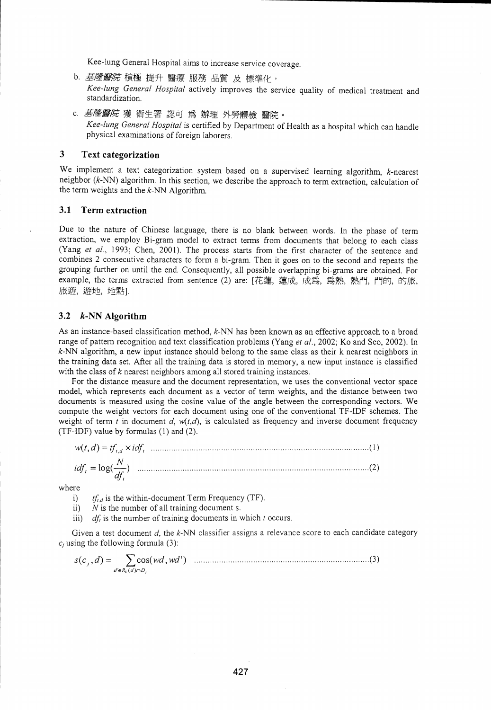Kee-lung General Hospital aims to increase service coverage.

- b. 基*隆醫院* 積極 提升 醫療 服務 品質 及 標準化, *Kee-lung General Hospital* actively improves the service quality of medical treatment and standardization.
- c. *基隆醫院* 獲 衛生署 認可 爲 辦理 外勞體檢 醫院。 *Kee-lung General Hospital* is certified by Department of Health as a hospital which can handle physical examinations of foreign laborers.

# 3 Text categorization

We implement a text categorization system based on a supervised learning algorithm, k-nearest neighbor (k-NN) algorithm. In this section, we describe the approach to term extraction, calculation of the term weights and the  $k$ -NN Algorithm.

# 3.1 Term extraction

Due to the nature of Chinese language, there is no blank between words. In the phase of term extraction, we employ Bi-gram model to extract terms from documents that belong to each class (Yang *et al.,* 1993; Chen, 2001). The process starts from the first character of the sentence and combines 2 consecutive characters to form a bi-gram. Then it goes on to the second and repeats the grouping further on until the end. Consequently, all possible overlapping bi-grams are obtained. For example, the terms extracted from sentence (2) are: [花蓮, 蓮成, 成爲, 爲熱, 熱門, 門的, 的旅, 旅遊, 遊地, 地點).

# 3.2 k-NN Algorithm

As an instance-based classification method, k-NN has been known as an effective approach to a broad range of pattern recognition and text classification problems (Yang *et al.,* 2002; Ko and Seo, 2002). In  $k$ -NN algorithm, a new input instance should belong to the same class as their k nearest neighbors in the training data set. After all the training data is stored in memory, a new input instance is classified with the class of *k* nearest neighbors among all stored training instances.

For the distance measure and the document representation, we uses the conventional vector space model, which represents each document as a vector of term weights, and the distance between two documents is measured using the cosine value of the angle between the corresponding vectors. We compute the weight vectors for each document using one of the conventional TF-IDF schemes. The weight of term  $t$  in document  $d$ ,  $w(t,d)$ , is calculated as frequency and inverse document frequency (TF-IDF) value by formulas (1) and (2).

$$
w(t, d) = tf_{t, d} \times idf_t \tag{1}
$$
  

$$
idf_t = \log(\frac{N}{df_t}) \tag{2}
$$

where

i)  $tf_{i,d}$  is the within-document Term Frequency (TF).

*ii) N* is the number of all training document s.

*iii) df,* is the number of training documents in which *t* occurs.

Given a test document *d*, the k-NN classifier assigns a relevance score to each candidate category *ci* using the following formula (3):

s(c <sup>i</sup> ,d) *<sup>=</sup>* cos(wd, *wd)* (3) *d'ERA(d)r,D,*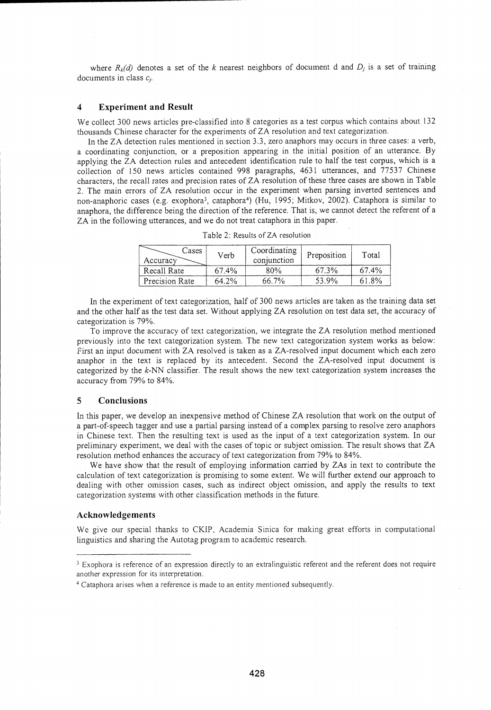where  $R_k(d)$  denotes a set of the *k* nearest neighbors of document d and  $D_j$  is a set of training documents in class  $c_i$ .

# 4 Experiment and Result

We collect 300 news articles pre-classified into 8 categories as a test corpus which contains about 132 thousands Chinese character for the experiments of ZA resolution and text categorization.

In the ZA detection rules mentioned in section 3.3, zero anaphors may occurs in three cases: a verb, a coordinating conjunction, or a preposition appearing in the initial position of an utterance. By applying the ZA detection rules and antecedent identification rule to half the test corpus, which is a collection of 150 news articles contained 998 paragraphs, 4631 utterances, and 77537 Chinese characters, the recall rates and precision rates of ZA resolution of these three cases are shown in Table 2. The main errors of ZA resolution occur in the experiment when parsing inverted sentences and non-anaphoric cases (e.g. exophora<sup>3</sup>, cataphora<sup>4</sup>) (Hu, 1995; Mitkov, 2002). Cataphora is similar to anaphora, the difference being the direction of the reference. That is, we cannot detect the referent of a ZA in the following utterances, and we do not treat cataphora in this paper.

| Cases<br>Accuracy | Verb  | Coordinating<br>conjunction | Preposition | Total |
|-------------------|-------|-----------------------------|-------------|-------|
| Recall Rate       | 67.4% | 80%                         | 67.3%       | 67.4% |
| Precision Rate    | 64.2% | 66.7%                       | 53.9%       | 61.8% |

Table 2: Results of ZA resolution

In the experiment of text categorization, half of 300 news articles are taken as the training data set and the other half as the test data set. Without applying ZA resolution on test data set, the accuracy of categorization is 79%.

To improve the accuracy of text categorization, we integrate the ZA resolution method mentioned previously into the text categorization system. The new text categorization system works as below: First an input document with ZA resolved is taken as a ZA-resolved input document which each zero anaphor in the text is replaced by its antecedent. Second the ZA-resolved input document is categorized by the  $k$ -NN classifier. The result shows the new text categorization system increases the accuracy from 79% to 84%.

# 5 Conclusions

In this paper, we develop an inexpensive method of Chinese ZA resolution that work on the output of a part-of-speech tagger and use a partial parsing instead of a complex parsing to resolve zero anaphors in Chinese text. Then the resulting text is used as the input of a text categorization system. In our preliminary experiment, we deal with the cases of topic or subject omission. The result shows that ZA resolution method enhances the accuracy of text categorization from 79% to 84%.

We have show that the result of employing information carried by ZAs in text to contribute the calculation of text categorization is promising to some extent. We will further extend our approach to dealing with other omission cases, such as indirect object omission, and apply the results to text categorization systems with other classification methods in the future.

### Acknowledgements

We give our special thanks to CKIP, Academia Sinica for making great efforts in computational linguistics and sharing the Autotag program to academic research.

<sup>&</sup>lt;sup>3</sup> Exophora is reference of an expression directly to an extralinguistic referent and the referent does not require another expression for its interpretation.

<sup>&</sup>lt;sup>4</sup> Cataphora arises when a reference is made to an entity mentioned subsequently.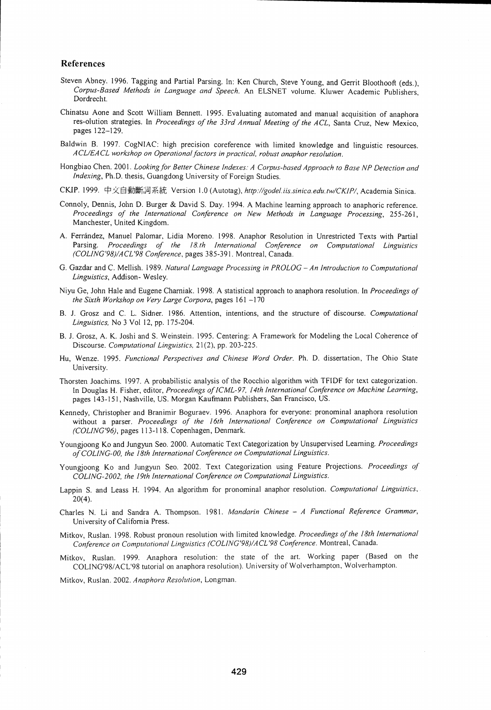## References

- Steven Abney. 1996. Tagging and Partial Parsing. In: Ken Church, Steve Young, and Gerrit Bloothooft (eds.), *Corpus-Based Methods in Language and Speech.* An ELSNET volume. Kluwer Academic Publishers, Dordrecht.
- Chinatsu Aone and Scott William Bennett. 1995. Evaluating automated and manual acquisition of anaphora res-olution strategies. In *Proceedings of the 33rd Annual Meeting of the ACL,* Santa Cruz, New Mexico, pages 122-129.
- Baldwin B. 1997. CogNIAC: high precision coreference with limited knowledge and linguistic resources. *ACL/EACL workshop on Operational factors in practical, robust anaphor resolution.*
- Hongbiao Chen. 2001. *Looking for Better Chinese Indexes: A Corpus-based Approach to Base NP Detection and Indexing,* Ph.D. thesis, Guangdong University of Foreign Studies.
- CKIP. 1999. 中文自動斷詞系統 Version 1.0 (Autotag), *http://godel.iis.sinica.edu.tw/CKIP/*, Academia Sinica.
- Connoly, Dennis, John D. Burger & David S. Day. 1994. A Machine learning approach to anaphoric reference. *Proceedings of the International Conference on New Methods in Language Processing,* 255-261, Manchester, United Kingdom.
- A. Ferrandez, Manuel Palomar, Lidia Moreno. 1998. Anaphor Resolution in Unrestricted Texts with Partial Parsing. Proceedings of the 18.th International Conference on Computational Linguistics *(COLING <sup>1</sup> 98)/ACL <sup>1</sup> 98 Conference,* pages 385-391. Montreal, Canada.
- G. Gazdar and C. Mellish. 1989. *Natural Language Processing in PROLOG An Introduction to Computational Linguistics,* Addison- Wesley.
- Niyu Ge, John Hale and Eugene Charniak. 1998. A statistical approach to anaphora resolution. In *Proceedings of the Sixth Workshop on Very Large Corpora,* pages 161 –170
- B. J. Grosz and C. L. Sidner. 1986. Attention, intentions, and the structure of discourse. *Computational Linguistics,* No 3 Vol 12, pp. 175-204.
- B. J. Grosz, A. K. Joshi and S. Weinstein. 1995. Centering: A Framework for Modeling the Local Coherence of Discourse. *Computational Linguistics,* 21(2), pp. 203-225.
- Hu, Wenze. 1995. *Functional Perspectives and Chinese Word Order.* Ph. D. dissertation, The Ohio State University.
- Thorsten Joachims. 1997. A probabilistic analysis of the Rocchio algorithm with TFIDF for text categorization. In Douglas H. Fisher, editor, *Proceedings of ICML-97, 14th International Conference on Machine Learning,* pages 143-151, Nashville, US. Morgan Kaufmann Publishers, San Francisco, US.
- Kennedy, Christopher and Branimir Boguraev. 1996. Anaphora for everyone: pronominal anaphora resolution without a parser. *Proceedings of the 16th International Conference on Computational Linguistics (COLING`96),* pages 113-118. Copenhagen, Denmark.
- Youngjoong Ko and Jungyun Seo. 2000. Automatic Text Categorization by Unsupervised Learning. *Proceedings of COLING-00, the 18th International Conference on Computational Linguistics.*
- Youngjoong Ko and Jungyun Seo. 2002. Text Categorization using Feature Projections. *Proceedings of COLING-2002, the 19th International Conference on Computational Linguistics.*
- Lappin S. and Leass H. 1994. An algorithm for pronominal anaphor resolution. *Computational Linguistics, .*  $20(4)$ .
- Charles N. Li and Sandra A. Thompson. 1981. *Mandarin Chinese A Functional Reference Grammar,* University of California Press.
- Mitkov, Ruslan. 1998. Robust pronoun resolution with limited knowledge. *Proceedings of the 18th International Conference on Computational Linguistics (COLING'98)/ACL'98 Conference.* Montreal, Canada.
- Mitkov, Ruslan. 1999. Anaphora resolution: the state of the art. Working paper (Based on the COLING'98/ACL'98 tutorial on anaphora resolution). University of Wolverhampton, Wolverhampton.

Mitkov, Ruslan. 2002. *Anaphora Resolution,* Longman.